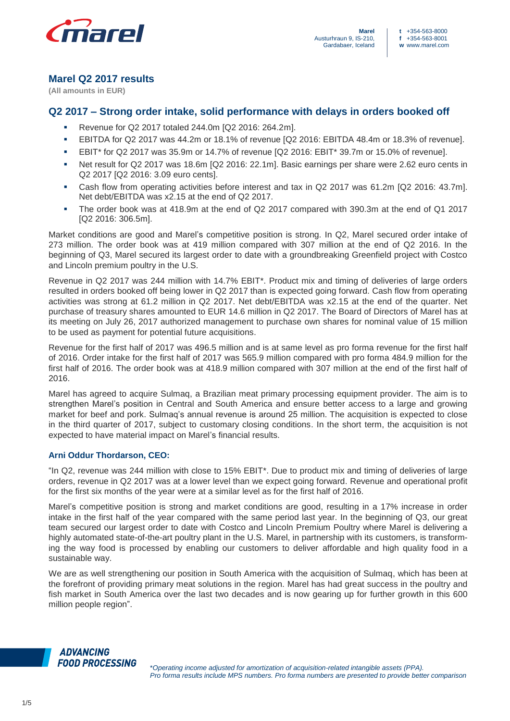

# **Marel Q2 2017 results**

**(All amounts in EUR)**

# **Q2 2017 – Strong order intake, solid performance with delays in orders booked off**

- Revenue for Q2 2017 totaled 244.0m [Q2 2016: 264.2m].
- EBITDA for Q2 2017 was 44.2m or 18.1% of revenue [Q2 2016: EBITDA 48.4m or 18.3% of revenue].
- EBIT\* for Q2 2017 was 35.9m or 14.7% of revenue [Q2 2016: EBIT\* 39.7m or 15.0% of revenue].
- Net result for Q2 2017 was 18.6m [Q2 2016: 22.1m]. Basic earnings per share were 2.62 euro cents in Q2 2017 [Q2 2016: 3.09 euro cents].
- Cash flow from operating activities before interest and tax in Q2 2017 was 61.2m [Q2 2016: 43.7m]. Net debt/EBITDA was x2.15 at the end of Q2 2017.
- The order book was at 418.9m at the end of Q2 2017 compared with 390.3m at the end of Q1 2017 [Q2 2016: 306.5m].

Market conditions are good and Marel's competitive position is strong. In Q2, Marel secured order intake of 273 million. The order book was at 419 million compared with 307 million at the end of Q2 2016. In the beginning of Q3, Marel secured its largest order to date with a groundbreaking Greenfield project with Costco and Lincoln premium poultry in the U.S.

Revenue in Q2 2017 was 244 million with 14.7% EBIT\*. Product mix and timing of deliveries of large orders resulted in orders booked off being lower in Q2 2017 than is expected going forward. Cash flow from operating activities was strong at 61.2 million in Q2 2017. Net debt/EBITDA was x2.15 at the end of the quarter. Net purchase of treasury shares amounted to EUR 14.6 million in Q2 2017. The Board of Directors of Marel has at its meeting on July 26, 2017 authorized management to purchase own shares for nominal value of 15 million to be used as payment for potential future acquisitions.

Revenue for the first half of 2017 was 496.5 million and is at same level as pro forma revenue for the first half of 2016. Order intake for the first half of 2017 was 565.9 million compared with pro forma 484.9 million for the first half of 2016. The order book was at 418.9 million compared with 307 million at the end of the first half of 2016.

Marel has agreed to acquire Sulmaq, a Brazilian meat primary processing equipment provider. The aim is to strengthen Marel's position in Central and South America and ensure better access to a large and growing market for beef and pork. Sulmaq's annual revenue is around 25 million. The acquisition is expected to close in the third quarter of 2017, subject to customary closing conditions. In the short term, the acquisition is not expected to have material impact on Marel's financial results.

# **Arni Oddur Thordarson, CEO:**

"In Q2, revenue was 244 million with close to 15% EBIT\*. Due to product mix and timing of deliveries of large orders, revenue in Q2 2017 was at a lower level than we expect going forward. Revenue and operational profit for the first six months of the year were at a similar level as for the first half of 2016.

Marel's competitive position is strong and market conditions are good, resulting in a 17% increase in order intake in the first half of the year compared with the same period last year. In the beginning of Q3, our great team secured our largest order to date with Costco and Lincoln Premium Poultry where Marel is delivering a highly automated state-of-the-art poultry plant in the U.S. Marel, in partnership with its customers, is transforming the way food is processed by enabling our customers to deliver affordable and high quality food in a sustainable way.

We are as well strengthening our position in South America with the acquisition of Sulmaq, which has been at the forefront of providing primary meat solutions in the region. Marel has had great success in the poultry and fish market in South America over the last two decades and is now gearing up for further growth in this 600 million people region".

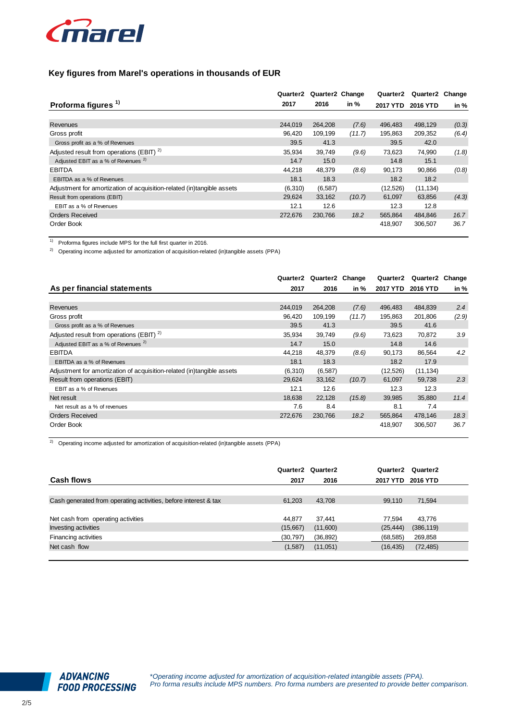

| Key figures from Marel's operations in thousands of EUR                |          |                 |        |          |           |        |  |
|------------------------------------------------------------------------|----------|-----------------|--------|----------|-----------|--------|--|
|                                                                        | Quarter2 | Quarter2 Change |        | Quarter2 | Quarter2  | Change |  |
| Proforma figures <sup>1)</sup>                                         | 2017     | 2016            | in %   | 2017 YTD | 2016 YTD  | in %   |  |
|                                                                        |          |                 |        |          |           |        |  |
| Revenues                                                               | 244.019  | 264.208         | (7.6)  | 496.483  | 498,129   | (0.3)  |  |
| Gross profit                                                           | 96,420   | 109,199         | (11.7) | 195,863  | 209,352   | (6.4)  |  |
| Gross profit as a % of Revenues                                        | 39.5     | 41.3            |        | 39.5     | 42.0      |        |  |
| Adjusted result from operations (EBIT) <sup>2)</sup>                   | 35,934   | 39,749          | (9.6)  | 73,623   | 74,990    | (1.8)  |  |
| Adjusted EBIT as a % of Revenues <sup>2)</sup>                         | 14.7     | 15.0            |        | 14.8     | 15.1      |        |  |
| <b>EBITDA</b>                                                          | 44.218   | 48,379          | (8.6)  | 90,173   | 90,866    | (0.8)  |  |
| EBITDA as a % of Revenues                                              | 18.1     | 18.3            |        | 18.2     | 18.2      |        |  |
| Adjustment for amortization of acquisition-related (in)tangible assets | (6,310)  | (6, 587)        |        | (12,526) | (11, 134) |        |  |
| Result from operations (EBIT)                                          | 29,624   | 33,162          | (10.7) | 61,097   | 63,856    | (4.3)  |  |
| EBIT as a % of Revenues                                                | 12.1     | 12.6            |        | 12.3     | 12.8      |        |  |
| <b>Orders Received</b>                                                 | 272,676  | 230,766         | 18.2   | 565,864  | 484,846   | 16.7   |  |
| Order Book                                                             |          |                 |        | 418,907  | 306,507   | 36.7   |  |

1) Proforma figures include MPS for the full first quarter in 2016.

<sup>2)</sup> Operating income adjusted for amortization of acquisition-related (in)tangible assets (PPA)

|                                                                        | Quarter2 | Quarter2 Change |        | Quarter2  | Quarter2 Change |       |
|------------------------------------------------------------------------|----------|-----------------|--------|-----------|-----------------|-------|
| As per financial statements                                            | 2017     | 2016            | in %   | 2017 YTD  | 2016 YTD        | in %  |
|                                                                        |          |                 |        |           |                 |       |
| Revenues                                                               | 244.019  | 264,208         | (7.6)  | 496,483   | 484,839         | 2.4   |
| Gross profit                                                           | 96,420   | 109,199         | (11.7) | 195,863   | 201,806         | (2.9) |
| Gross profit as a % of Revenues                                        | 39.5     | 41.3            |        | 39.5      | 41.6            |       |
| Adjusted result from operations (EBIT) <sup>2)</sup>                   | 35,934   | 39,749          | (9.6)  | 73,623    | 70,872          | 3.9   |
| Adjusted EBIT as a % of Revenues <sup>2)</sup>                         | 14.7     | 15.0            |        | 14.8      | 14.6            |       |
| <b>EBITDA</b>                                                          | 44,218   | 48,379          | (8.6)  | 90,173    | 86,564          | 4.2   |
| EBITDA as a % of Revenues                                              | 18.1     | 18.3            |        | 18.2      | 17.9            |       |
| Adjustment for amortization of acquisition-related (in)tangible assets | (6,310)  | (6, 587)        |        | (12, 526) | (11, 134)       |       |
| Result from operations (EBIT)                                          | 29,624   | 33,162          | (10.7) | 61,097    | 59,738          | 2.3   |
| EBIT as a % of Revenues                                                | 12.1     | 12.6            |        | 12.3      | 12.3            |       |
| Net result                                                             | 18,638   | 22,128          | (15.8) | 39,985    | 35,880          | 11.4  |
| Net result as a % of revenues                                          | 7.6      | 8.4             |        | 8.1       | 7.4             |       |
| <b>Orders Received</b>                                                 | 272,676  | 230,766         | 18.2   | 565,864   | 478,146         | 18.3  |
| Order Book                                                             |          |                 |        | 418,907   | 306,507         | 36.7  |

 $2)$  Operating income adjusted for amortization of acquisition-related (in)tangible assets (PPA)

| <b>Cash flows</b>                                               | 2017      | Quarter2 Quarter2<br>2016 | Quarter <sub>2</sub><br>2017 YTD | Quarter <sub>2</sub><br>2016 YTD |  |
|-----------------------------------------------------------------|-----------|---------------------------|----------------------------------|----------------------------------|--|
|                                                                 |           |                           |                                  |                                  |  |
| Cash generated from operating activities, before interest & tax | 61,203    | 43,708                    | 99,110                           | 71,594                           |  |
|                                                                 |           |                           |                                  |                                  |  |
| Net cash from operating activities                              | 44.877    | 37.441                    | 77.594                           | 43,776                           |  |
| <b>Investing activities</b>                                     | (15,667)  | (11,600)                  | (25, 444)                        | (386, 119)                       |  |
| Financing activities                                            | (30, 797) | (36, 892)                 | (68, 585)                        | 269,858                          |  |
| Net cash flow                                                   | (1,587)   | (11,051)                  | (16, 435)                        | (72, 485)                        |  |
|                                                                 |           |                           |                                  |                                  |  |

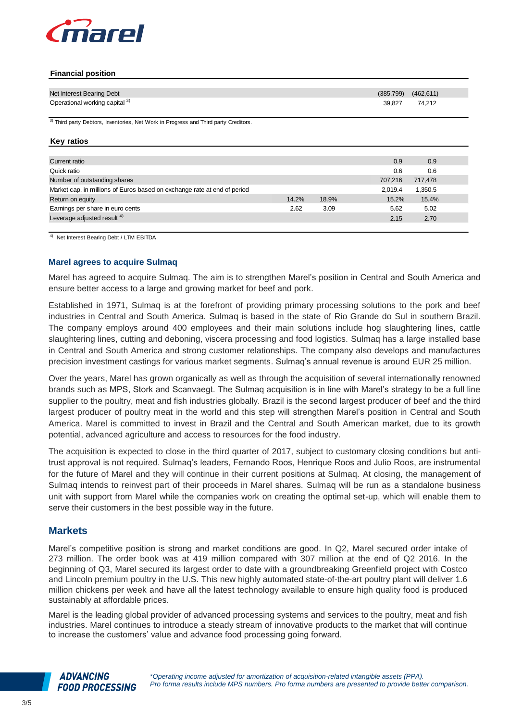

#### **Financial position**

| Net Interest Bearing Debt                                                                       |       |       | (385, 799) | (462, 611) |
|-------------------------------------------------------------------------------------------------|-------|-------|------------|------------|
| Operational working capital 3)                                                                  |       |       | 39,827     | 74,212     |
| <sup>3)</sup> Third party Debtors, Inventories, Net Work in Progress and Third party Creditors. |       |       |            |            |
| <b>Key ratios</b>                                                                               |       |       |            |            |
| Current ratio                                                                                   |       |       | 0.9        | 0.9        |
| Quick ratio                                                                                     |       |       | 0.6        | 0.6        |
| Number of outstanding shares                                                                    |       |       | 707,216    | 717,478    |
| Market cap. in millions of Euros based on exchange rate at end of period                        |       |       | 2,019.4    | 1,350.5    |
| Return on equity                                                                                | 14.2% | 18.9% | 15.2%      | 15.4%      |
| Earnings per share in euro cents                                                                | 2.62  | 3.09  | 5.62       | 5.02       |
| Leverage adjusted result <sup>4)</sup>                                                          |       |       | 2.15       | 2.70       |

#### **Marel agrees to acquire Sulmaq**

Marel has agreed to acquire Sulmaq. The aim is to strengthen Marel's position in Central and South America and ensure better access to a large and growing market for beef and pork.

Established in 1971, Sulmaq is at the forefront of providing primary processing solutions to the pork and beef industries in Central and South America. Sulmaq is based in the state of Rio Grande do Sul in southern Brazil. The company employs around 400 employees and their main solutions include hog slaughtering lines, cattle slaughtering lines, cutting and deboning, viscera processing and food logistics. Sulmaq has a large installed base in Central and South America and strong customer relationships. The company also develops and manufactures precision investment castings for various market segments. Sulmaq's annual revenue is around EUR 25 million.

Over the years, Marel has grown organically as well as through the acquisition of several internationally renowned brands such as MPS, Stork and Scanvaegt. The Sulmaq acquisition is in line with Marel's strategy to be a full line supplier to the poultry, meat and fish industries globally. Brazil is the second largest producer of beef and the third largest producer of poultry meat in the world and this step will strengthen Marel's position in Central and South America. Marel is committed to invest in Brazil and the Central and South American market, due to its growth potential, advanced agriculture and access to resources for the food industry.

The acquisition is expected to close in the third quarter of 2017, subject to customary closing conditions but antitrust approval is not required. Sulmaq's leaders, Fernando Roos, Henrique Roos and Julio Roos, are instrumental for the future of Marel and they will continue in their current positions at Sulmaq. At closing, the management of Sulmaq intends to reinvest part of their proceeds in Marel shares. Sulmaq will be run as a standalone business unit with support from Marel while the companies work on creating the optimal set-up, which will enable them to serve their customers in the best possible way in the future.

## **Markets**

Marel's competitive position is strong and market conditions are good. In Q2, Marel secured order intake of 273 million. The order book was at 419 million compared with 307 million at the end of Q2 2016. In the beginning of Q3, Marel secured its largest order to date with a groundbreaking Greenfield project with Costco and Lincoln premium poultry in the U.S. This new highly automated state-of-the-art poultry plant will deliver 1.6 million chickens per week and have all the latest technology available to ensure high quality food is produced sustainably at affordable prices.

Marel is the leading global provider of advanced processing systems and services to the poultry, meat and fish industries. Marel continues to introduce a steady stream of innovative products to the market that will continue to increase the customers' value and advance food processing going forward.

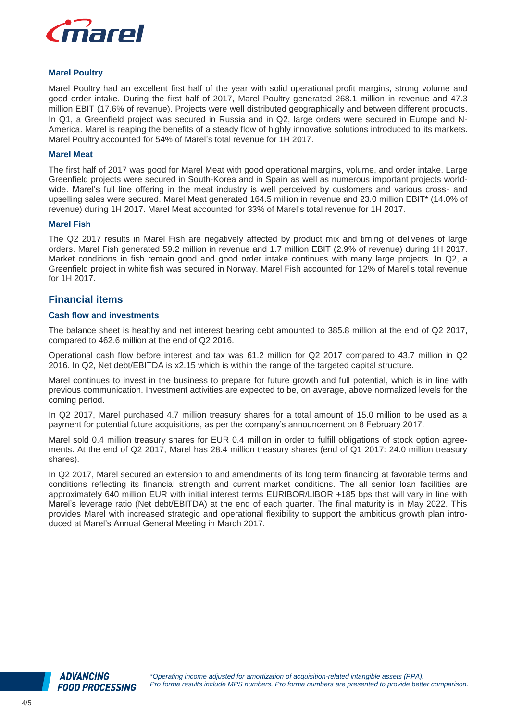

#### **Marel Poultry**

Marel Poultry had an excellent first half of the year with solid operational profit margins, strong volume and good order intake. During the first half of 2017, Marel Poultry generated 268.1 million in revenue and 47.3 million EBIT (17.6% of revenue). Projects were well distributed geographically and between different products. In Q1, a Greenfield project was secured in Russia and in Q2, large orders were secured in Europe and N-America. Marel is reaping the benefits of a steady flow of highly innovative solutions introduced to its markets. Marel Poultry accounted for 54% of Marel's total revenue for 1H 2017.

## **Marel Meat**

The first half of 2017 was good for Marel Meat with good operational margins, volume, and order intake. Large Greenfield projects were secured in South-Korea and in Spain as well as numerous important projects worldwide. Marel's full line offering in the meat industry is well perceived by customers and various cross- and upselling sales were secured. Marel Meat generated 164.5 million in revenue and 23.0 million EBIT\* (14.0% of revenue) during 1H 2017. Marel Meat accounted for 33% of Marel's total revenue for 1H 2017.

#### **Marel Fish**

The Q2 2017 results in Marel Fish are negatively affected by product mix and timing of deliveries of large orders. Marel Fish generated 59.2 million in revenue and 1.7 million EBIT (2.9% of revenue) during 1H 2017. Market conditions in fish remain good and good order intake continues with many large projects. In Q2, a Greenfield project in white fish was secured in Norway. Marel Fish accounted for 12% of Marel's total revenue for 1H 2017.

## **Financial items**

## **Cash flow and investments**

The balance sheet is healthy and net interest bearing debt amounted to 385.8 million at the end of Q2 2017, compared to 462.6 million at the end of Q2 2016.

Operational cash flow before interest and tax was 61.2 million for Q2 2017 compared to 43.7 million in Q2 2016. In Q2, Net debt/EBITDA is x2.15 which is within the range of the targeted capital structure.

Marel continues to invest in the business to prepare for future growth and full potential, which is in line with previous communication. Investment activities are expected to be, on average, above normalized levels for the coming period.

In Q2 2017, Marel purchased 4.7 million treasury shares for a total amount of 15.0 million to be used as a payment for potential future acquisitions, as per the company's announcement on 8 February 2017.

Marel sold 0.4 million treasury shares for EUR 0.4 million in order to fulfill obligations of stock option agreements. At the end of Q2 2017, Marel has 28.4 million treasury shares (end of Q1 2017: 24.0 million treasury shares).

In Q2 2017, Marel secured an extension to and amendments of its long term financing at favorable terms and conditions reflecting its financial strength and current market conditions. The all senior loan facilities are approximately 640 million EUR with initial interest terms EURIBOR/LIBOR +185 bps that will vary in line with Marel's leverage ratio (Net debt/EBITDA) at the end of each quarter. The final maturity is in May 2022. This provides Marel with increased strategic and operational flexibility to support the ambitious growth plan introduced at Marel's Annual General Meeting in March 2017.